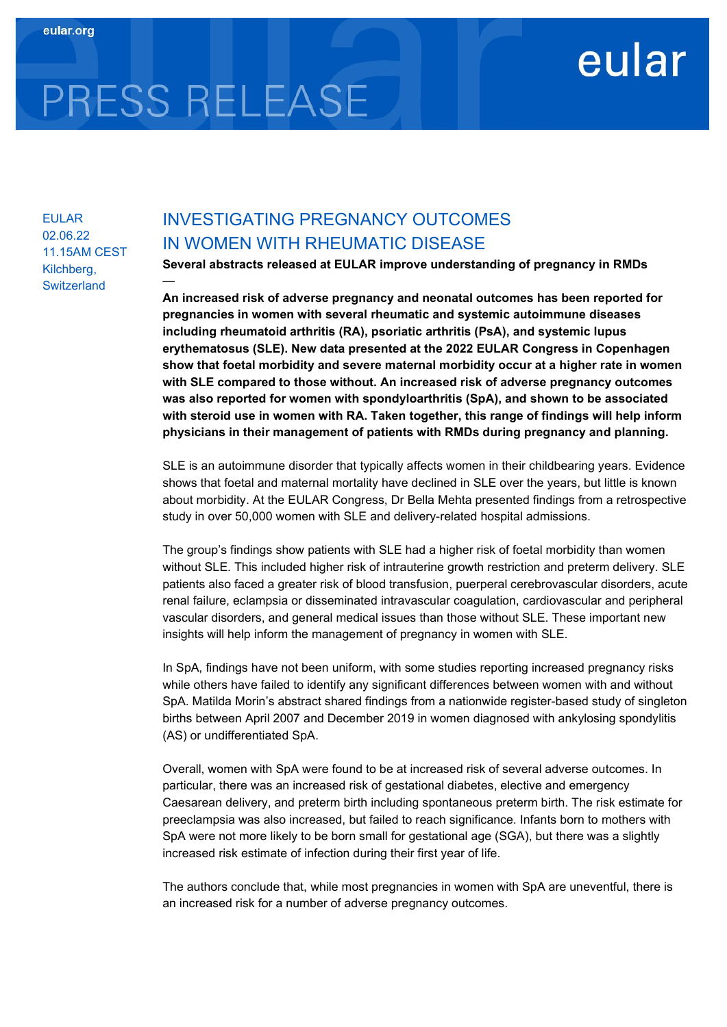## eular

# PRESS RELEASE

—

EULAR 02.06.22 11.15AM CEST Kilchberg, **Switzerland** 

### INVESTIGATING PREGNANCY OUTCOMES IN WOMEN WITH RHEUMATIC DISEASE

Several abstracts released at EULAR improve understanding of pregnancy in RMDs

An increased risk of adverse pregnancy and neonatal outcomes has been reported for pregnancies in women with several rheumatic and systemic autoimmune diseases including rheumatoid arthritis (RA), psoriatic arthritis (PsA), and systemic lupus erythematosus (SLE). New data presented at the 2022 EULAR Congress in Copenhagen show that foetal morbidity and severe maternal morbidity occur at a higher rate in women with SLE compared to those without. An increased risk of adverse pregnancy outcomes was also reported for women with spondyloarthritis (SpA), and shown to be associated with steroid use in women with RA. Taken together, this range of findings will help inform physicians in their management of patients with RMDs during pregnancy and planning.

SLE is an autoimmune disorder that typically affects women in their childbearing years. Evidence shows that foetal and maternal mortality have declined in SLE over the years, but little is known about morbidity. At the EULAR Congress, Dr Bella Mehta presented findings from a retrospective study in over 50,000 women with SLE and delivery-related hospital admissions.

The group's findings show patients with SLE had a higher risk of foetal morbidity than women without SLE. This included higher risk of intrauterine growth restriction and preterm delivery. SLE patients also faced a greater risk of blood transfusion, puerperal cerebrovascular disorders, acute renal failure, eclampsia or disseminated intravascular coagulation, cardiovascular and peripheral vascular disorders, and general medical issues than those without SLE. These important new insights will help inform the management of pregnancy in women with SLE.

In SpA, findings have not been uniform, with some studies reporting increased pregnancy risks while others have failed to identify any significant differences between women with and without SpA. Matilda Morin's abstract shared findings from a nationwide register-based study of singleton births between April 2007 and December 2019 in women diagnosed with ankylosing spondylitis (AS) or undifferentiated SpA.

Overall, women with SpA were found to be at increased risk of several adverse outcomes. In particular, there was an increased risk of gestational diabetes, elective and emergency Caesarean delivery, and preterm birth including spontaneous preterm birth. The risk estimate for preeclampsia was also increased, but failed to reach significance. Infants born to mothers with SpA were not more likely to be born small for gestational age (SGA), but there was a slightly increased risk estimate of infection during their first year of life.

The authors conclude that, while most pregnancies in women with SpA are uneventful, there is an increased risk for a number of adverse pregnancy outcomes.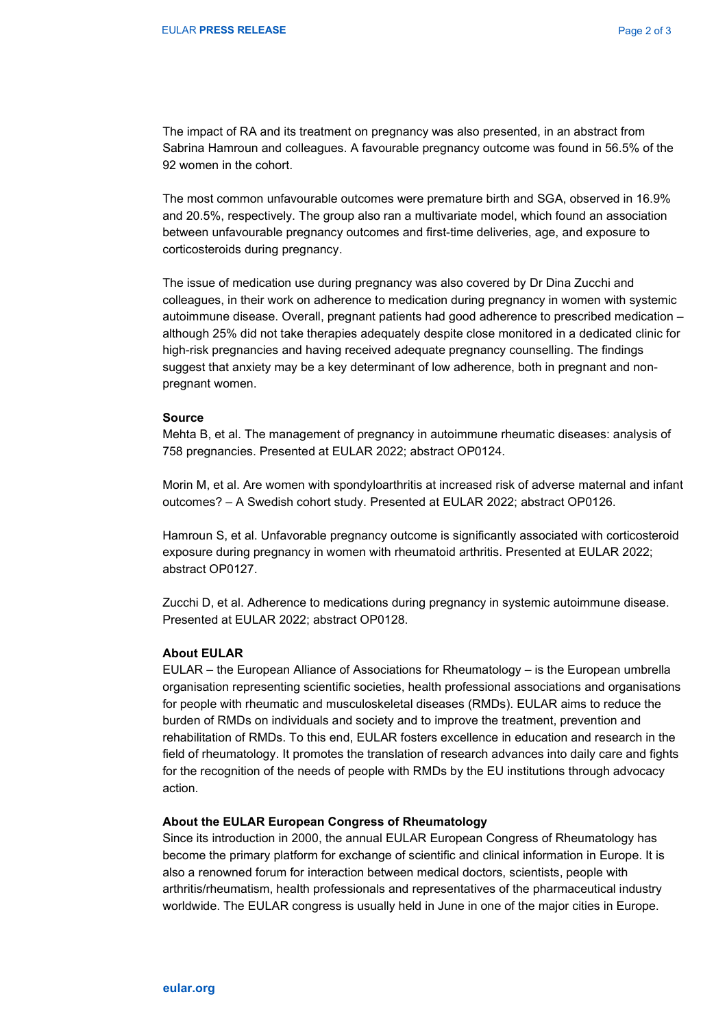The impact of RA and its treatment on pregnancy was also presented, in an abstract from Sabrina Hamroun and colleagues. A favourable pregnancy outcome was found in 56.5% of the 92 women in the cohort.

The most common unfavourable outcomes were premature birth and SGA, observed in 16.9% and 20.5%, respectively. The group also ran a multivariate model, which found an association between unfavourable pregnancy outcomes and first-time deliveries, age, and exposure to corticosteroids during pregnancy.

The issue of medication use during pregnancy was also covered by Dr Dina Zucchi and colleagues, in their work on adherence to medication during pregnancy in women with systemic autoimmune disease. Overall, pregnant patients had good adherence to prescribed medication – although 25% did not take therapies adequately despite close monitored in a dedicated clinic for high-risk pregnancies and having received adequate pregnancy counselling. The findings suggest that anxiety may be a key determinant of low adherence, both in pregnant and nonpregnant women.

#### Source

Mehta B, et al. The management of pregnancy in autoimmune rheumatic diseases: analysis of 758 pregnancies. Presented at EULAR 2022; abstract OP0124.

Morin M, et al. Are women with spondyloarthritis at increased risk of adverse maternal and infant outcomes? – A Swedish cohort study. Presented at EULAR 2022; abstract OP0126.

Hamroun S, et al. Unfavorable pregnancy outcome is significantly associated with corticosteroid exposure during pregnancy in women with rheumatoid arthritis. Presented at EULAR 2022; abstract OP0127.

Zucchi D, et al. Adherence to medications during pregnancy in systemic autoimmune disease. Presented at EULAR 2022; abstract OP0128.

#### About EULAR

EULAR – the European Alliance of Associations for Rheumatology – is the European umbrella organisation representing scientific societies, health professional associations and organisations for people with rheumatic and musculoskeletal diseases (RMDs). EULAR aims to reduce the burden of RMDs on individuals and society and to improve the treatment, prevention and rehabilitation of RMDs. To this end, EULAR fosters excellence in education and research in the field of rheumatology. It promotes the translation of research advances into daily care and fights for the recognition of the needs of people with RMDs by the EU institutions through advocacy action.

#### About the EULAR European Congress of Rheumatology

Since its introduction in 2000, the annual EULAR European Congress of Rheumatology has become the primary platform for exchange of scientific and clinical information in Europe. It is also a renowned forum for interaction between medical doctors, scientists, people with arthritis/rheumatism, health professionals and representatives of the pharmaceutical industry worldwide. The EULAR congress is usually held in June in one of the major cities in Europe.